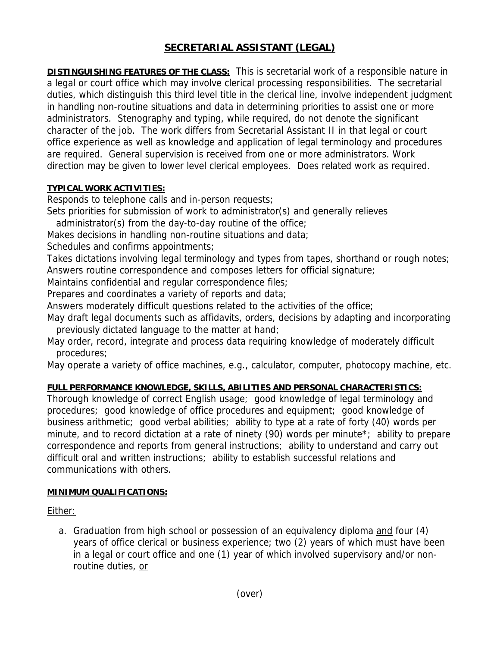# **SECRETARIAL ASSISTANT (LEGAL)**

**DISTINGUISHING FEATURES OF THE CLASS:** This is secretarial work of a responsible nature in a legal or court office which may involve clerical processing responsibilities. The secretarial duties, which distinguish this third level title in the clerical line, involve independent judgment in handling non-routine situations and data in determining priorities to assist one or more administrators. Stenography and typing, while required, do not denote the significant character of the job. The work differs from Secretarial Assistant II in that legal or court office experience as well as knowledge and application of legal terminology and procedures are required. General supervision is received from one or more administrators. Work direction may be given to lower level clerical employees. Does related work as required.

#### **TYPICAL WORK ACTIVITIES:**

Responds to telephone calls and in-person requests;

Sets priorities for submission of work to administrator(s) and generally relieves

administrator(s) from the day-to-day routine of the office;

Makes decisions in handling non-routine situations and data;

Schedules and confirms appointments;

Takes dictations involving legal terminology and types from tapes, shorthand or rough notes; Answers routine correspondence and composes letters for official signature;

Maintains confidential and regular correspondence files;

Prepares and coordinates a variety of reports and data;

Answers moderately difficult questions related to the activities of the office;

May draft legal documents such as affidavits, orders, decisions by adapting and incorporating previously dictated language to the matter at hand;

May order, record, integrate and process data requiring knowledge of moderately difficult procedures;

May operate a variety of office machines, e.g., calculator, computer, photocopy machine, etc.

## **FULL PERFORMANCE KNOWLEDGE, SKILLS, ABILITIES AND PERSONAL CHARACTERISTICS:**

Thorough knowledge of correct English usage; good knowledge of legal terminology and procedures; good knowledge of office procedures and equipment; good knowledge of business arithmetic; good verbal abilities; ability to type at a rate of forty (40) words per minute, and to record dictation at a rate of ninety (90) words per minute\*; ability to prepare correspondence and reports from general instructions; ability to understand and carry out difficult oral and written instructions; ability to establish successful relations and communications with others.

## **MINIMUM QUALIFICATIONS:**

Either:

a. Graduation from high school or possession of an equivalency diploma and four (4) years of office clerical or business experience; two (2) years of which must have been in a legal or court office and one (1) year of which involved supervisory and/or nonroutine duties, or